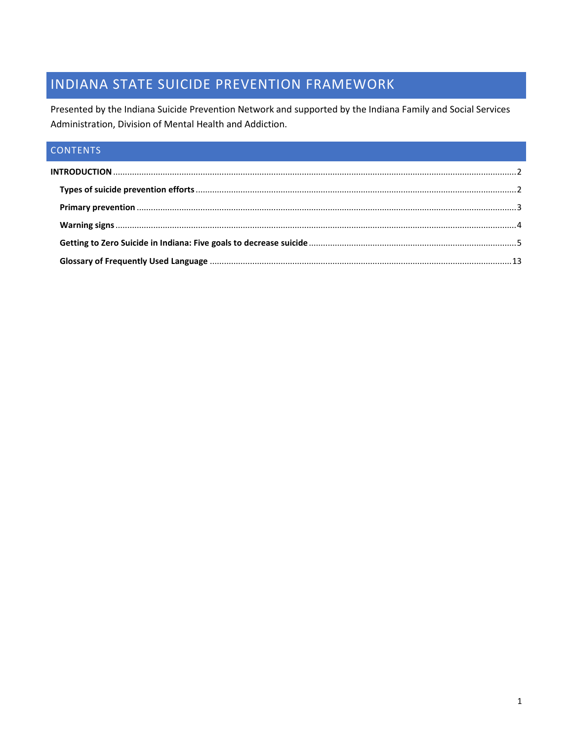# INDIANA STATE SUICIDE PREVENTION FRAMEWORK

Presented by the Indiana Suicide Prevention Network and supported by the Indiana Family and Social Services Administration, Division of Mental Health and Addiction.

# CONTENTS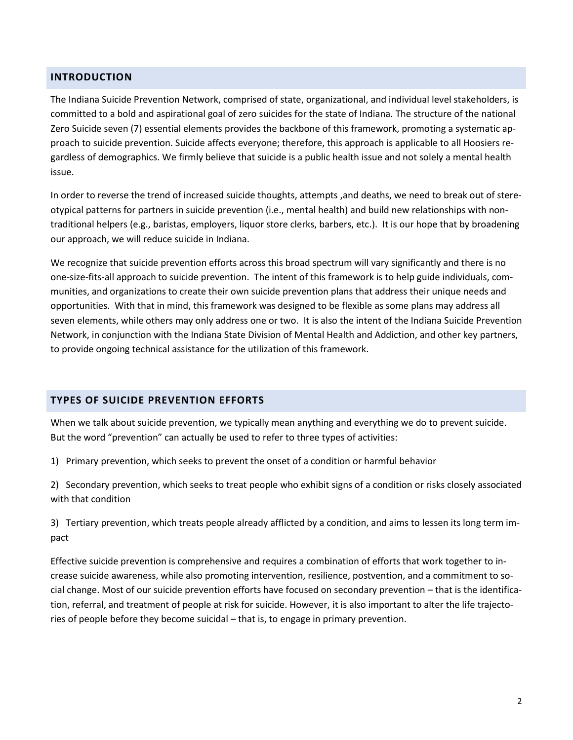### <span id="page-1-0"></span>**INTRODUCTION**

The Indiana Suicide Prevention Network, comprised of state, organizational, and individual level stakeholders, is committed to a bold and aspirational goal of zero suicides for the state of Indiana. The structure of the national Zero Suicide seven (7) essential elements provides the backbone of this framework, promoting a systematic approach to suicide prevention. Suicide affects everyone; therefore, this approach is applicable to all Hoosiers regardless of demographics. We firmly believe that suicide is a public health issue and not solely a mental health issue.

In order to reverse the trend of increased suicide thoughts, attempts ,and deaths, we need to break out of stereotypical patterns for partners in suicide prevention (i.e., mental health) and build new relationships with nontraditional helpers (e.g., baristas, employers, liquor store clerks, barbers, etc.). It is our hope that by broadening our approach, we will reduce suicide in Indiana.

We recognize that suicide prevention efforts across this broad spectrum will vary significantly and there is no one-size-fits-all approach to suicide prevention. The intent of this framework is to help guide individuals, communities, and organizations to create their own suicide prevention plans that address their unique needs and opportunities. With that in mind, this framework was designed to be flexible as some plans may address all seven elements, while others may only address one or two. It is also the intent of the Indiana Suicide Prevention Network, in conjunction with the Indiana State Division of Mental Health and Addiction, and other key partners, to provide ongoing technical assistance for the utilization of this framework.

#### <span id="page-1-1"></span>**TYPES OF SUICIDE PREVENTION EFFORTS**

When we talk about suicide prevention, we typically mean anything and everything we do to prevent suicide. But the word "prevention" can actually be used to refer to three types of activities:

1) Primary prevention, which seeks to prevent the onset of a condition or harmful behavior

2) Secondary prevention, which seeks to treat people who exhibit signs of a condition or risks closely associated with that condition

3) Tertiary prevention, which treats people already afflicted by a condition, and aims to lessen its long term impact

Effective suicide prevention is comprehensive and requires a combination of efforts that work together to increase suicide awareness, while also promoting intervention, resilience, postvention, and a commitment to social change. Most of our suicide prevention efforts have focused on secondary prevention – that is the identification, referral, and treatment of people at risk for suicide. However, it is also important to alter the life trajectories of people before they become suicidal – that is, to engage in primary prevention.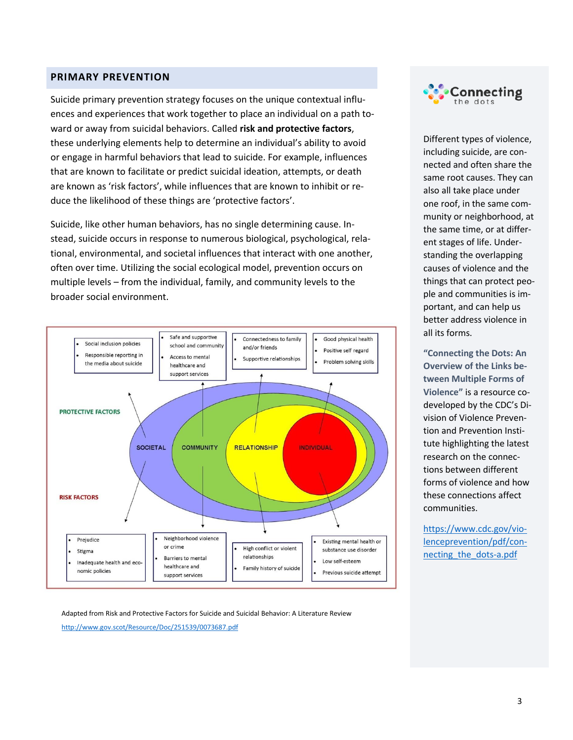#### <span id="page-2-0"></span>**PRIMARY PREVENTION**

Suicide primary prevention strategy focuses on the unique contextual influences and experiences that work together to place an individual on a path toward or away from suicidal behaviors. Called **risk and protective factors**, these underlying elements help to determine an individual's ability to avoid or engage in harmful behaviors that lead to suicide. For example, influences that are known to facilitate or predict suicidal ideation, attempts, or death are known as 'risk factors', while influences that are known to inhibit or reduce the likelihood of these things are 'protective factors'.

Suicide, like other human behaviors, has no single determining cause. Instead, suicide occurs in response to numerous biological, psychological, relational, environmental, and societal influences that interact with one another, often over time. Utilizing the social ecological model, prevention occurs on multiple levels – from the individual, family, and community levels to the broader social environment.



Adapted from Risk and Protective Factors for Suicide and Suicidal Behavior: A Literature Review <http://www.gov.scot/Resource/Doc/251539/0073687.pdf>



Different types of violence, including suicide, are connected and often share the same root causes. They can also all take place under one roof, in the same community or neighborhood, at the same time, or at different stages of life. Understanding the overlapping causes of violence and the things that can protect people and communities is important, and can help us better address violence in all its forms.

**"Connecting the Dots: An Overview of the Links between Multiple Forms of Violence"** is a resource codeveloped by the CDC's Division of Violence Prevention and Prevention Institute highlighting the latest research on the connections between different forms of violence and how these connections affect communities.

[https://www.cdc.gov/vio](https://www.cdc.gov/violenceprevention/pdf/connecting_the_dots-a.pdf)[lenceprevention/pdf/con](https://www.cdc.gov/violenceprevention/pdf/connecting_the_dots-a.pdf)[necting\\_the\\_dots-a.pdf](https://www.cdc.gov/violenceprevention/pdf/connecting_the_dots-a.pdf)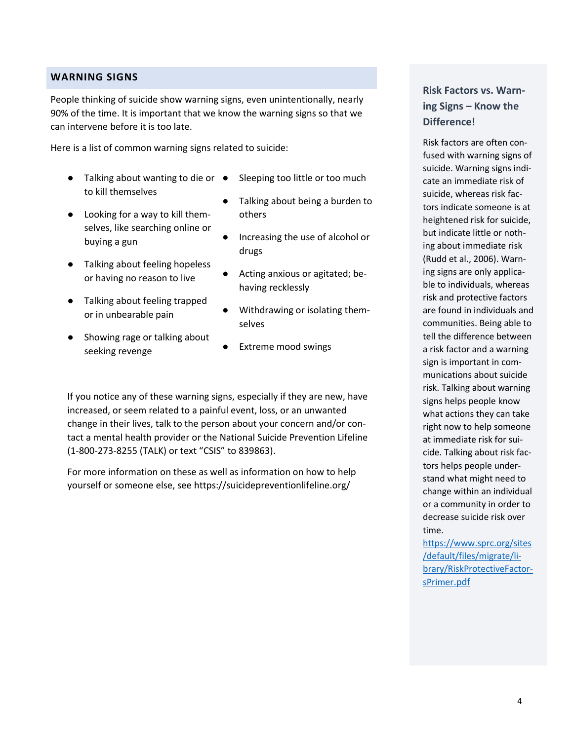#### <span id="page-3-0"></span>**WARNING SIGNS**

People thinking of suicide show warning signs, even unintentionally, nearly 90% of the time. It is important that we know the warning signs so that we can intervene before it is too late.

Here is a list of common warning signs related to suicide:

- Talking about wanting to die or to kill themselves
- Looking for a way to kill themselves, like searching online or buying a gun
- Talking about feeling hopeless or having no reason to live
- Talking about feeling trapped or in unbearable pain
- Showing rage or talking about seeking revenge
- Sleeping too little or too much
- Talking about being a burden to others
- Increasing the use of alcohol or drugs
- Acting anxious or agitated; behaving recklessly
- Withdrawing or isolating themselves
- **Extreme mood swings**

If you notice any of these warning signs, especially if they are new, have increased, or seem related to a painful event, loss, or an unwanted change in their lives, talk to the person about your concern and/or contact a mental health provider or the National Suicide Prevention Lifeline (1-800-273-8255 (TALK) or text "CSIS" to 839863).

For more information on these as well as information on how to help yourself or someone else, see https://suicidepreventionlifeline.org/

### **Risk Factors vs. Warning Signs – Know the Difference!**

Risk factors are often confused with warning signs of suicide. Warning signs indicate an immediate risk of suicide, whereas risk factors indicate someone is at heightened risk for suicide, but indicate little or nothing about immediate risk (Rudd et al., 2006). Warning signs are only applicable to individuals, whereas risk and protective factors are found in individuals and communities. Being able to tell the difference between a risk factor and a warning sign is important in communications about suicide risk. Talking about warning signs helps people know what actions they can take right now to help someone at immediate risk for suicide. Talking about risk factors helps people understand what might need to change within an individual or a community in order to decrease suicide risk over time.

[https://www.sprc.org/sites](https://www.sprc.org/sites/default/files/migrate/library/RiskProtectiveFactorsPrimer.pdf) [/default/files/migrate/li](https://www.sprc.org/sites/default/files/migrate/library/RiskProtectiveFactorsPrimer.pdf)[brary/RiskProtectiveFactor](https://www.sprc.org/sites/default/files/migrate/library/RiskProtectiveFactorsPrimer.pdf)[sPrimer](https://www.sprc.org/sites/default/files/migrate/library/RiskProtectiveFactorsPrimer.pdf).pdf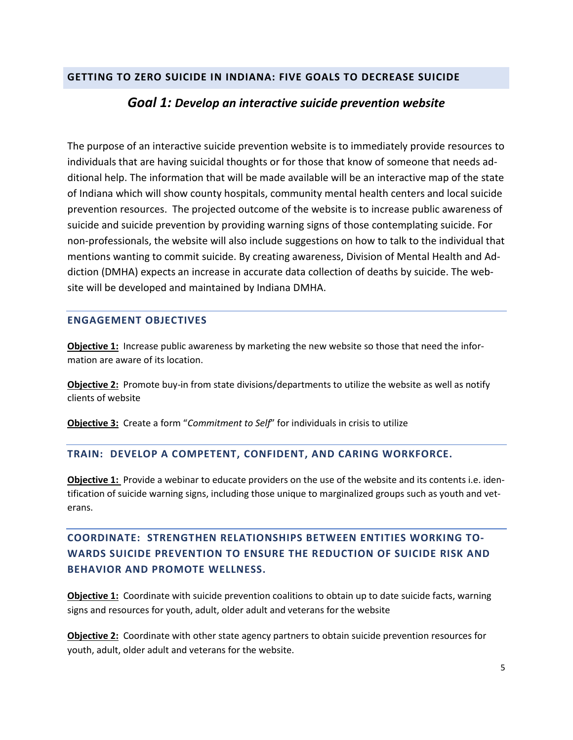### <span id="page-4-0"></span>**GETTING TO ZERO SUICIDE IN INDIANA: FIVE GOALS TO DECREASE SUICIDE**

### *Goal 1: Develop an interactive suicide prevention website*

The purpose of an interactive suicide prevention website is to immediately provide resources to individuals that are having suicidal thoughts or for those that know of someone that needs additional help. The information that will be made available will be an interactive map of the state of Indiana which will show county hospitals, community mental health centers and local suicide prevention resources. The projected outcome of the website is to increase public awareness of suicide and suicide prevention by providing warning signs of those contemplating suicide. For non-professionals, the website will also include suggestions on how to talk to the individual that mentions wanting to commit suicide. By creating awareness, Division of Mental Health and Addiction (DMHA) expects an increase in accurate data collection of deaths by suicide. The website will be developed and maintained by Indiana DMHA.

### **ENGAGEMENT OBJECTIVES**

**Objective 1:** Increase public awareness by marketing the new website so those that need the information are aware of its location.

**Objective 2:** Promote buy-in from state divisions/departments to utilize the website as well as notify clients of website

**Objective 3:** Create a form "*Commitment to Self*" for individuals in crisis to utilize

### **TRAIN: DEVELOP A COMPETENT, CONFIDENT, AND CARING WORKFORCE.**

**Objective 1:** Provide a webinar to educate providers on the use of the website and its contents i.e. identification of suicide warning signs, including those unique to marginalized groups such as youth and veterans.

## **COORDINATE: STRENGTHEN RELATIONSHIPS BETWEEN ENTITIES WORKING TO-WARDS SUICIDE PREVENTION TO ENSURE THE REDUCTION OF SUICIDE RISK AND BEHAVIOR AND PROMOTE WELLNESS.**

**Objective 1:** Coordinate with suicide prevention coalitions to obtain up to date suicide facts, warning signs and resources for youth, adult, older adult and veterans for the website

**Objective 2:** Coordinate with other state agency partners to obtain suicide prevention resources for youth, adult, older adult and veterans for the website.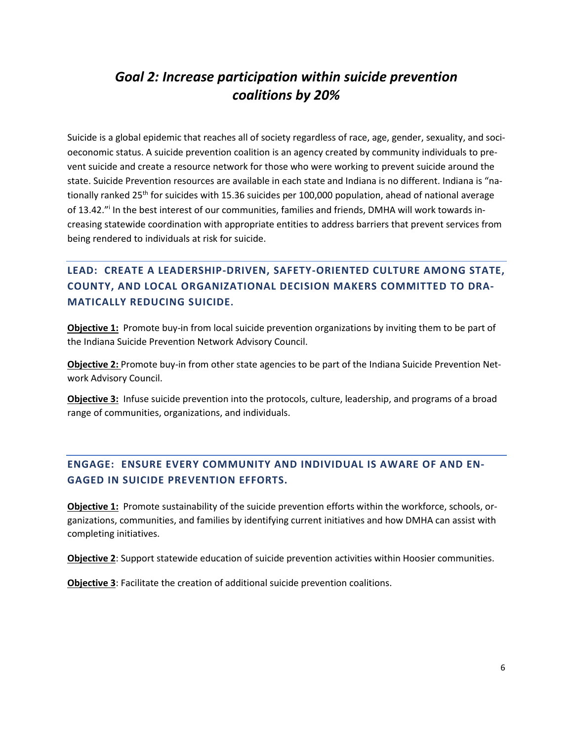# *Goal 2: Increase participation within suicide prevention coalitions by 20%*

Suicide is a global epidemic that reaches all of society regardless of race, age, gender, sexuality, and socioeconomic status. A suicide prevention coalition is an agency created by community individuals to prevent suicide and create a resource network for those who were working to prevent suicide around the state. Suicide Prevention resources are available in each state and Indiana is no different. Indiana is "nationally ranked 25<sup>th</sup> for suicides with 15.36 suicides per 100,000 population, ahead of national average of 13.42." In the best interest of our communities, families and friends, DMHA will work towards increasing statewide coordination with appropriate entities to address barriers that prevent services from being rendered to individuals at risk for suicide.

# **LEAD: CREATE A LEADERSHIP-DRIVEN, SAFETY-ORIENTED CULTURE AMONG STATE, COUNTY, AND LOCAL ORGANIZATIONAL DECISION MAKERS COMMITTED TO DRA-MATICALLY REDUCING SUICIDE.**

**Objective 1:** Promote buy-in from local suicide prevention organizations by inviting them to be part of the Indiana Suicide Prevention Network Advisory Council.

**Objective 2:** Promote buy-in from other state agencies to be part of the Indiana Suicide Prevention Network Advisory Council.

**Objective 3:** Infuse suicide prevention into the protocols, culture, leadership, and programs of a broad range of communities, organizations, and individuals.

## **ENGAGE: ENSURE EVERY COMMUNITY AND INDIVIDUAL IS AWARE OF AND EN-GAGED IN SUICIDE PREVENTION EFFORTS.**

**Objective 1:** Promote sustainability of the suicide prevention efforts within the workforce, schools, organizations, communities, and families by identifying current initiatives and how DMHA can assist with completing initiatives.

**Objective 2**: Support statewide education of suicide prevention activities within Hoosier communities.

**Objective 3**: Facilitate the creation of additional suicide prevention coalitions.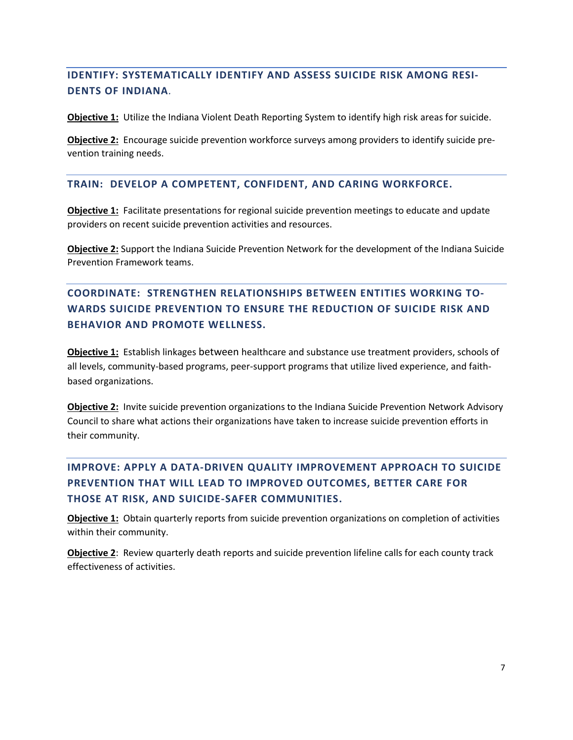## **IDENTIFY: SYSTEMATICALLY IDENTIFY AND ASSESS SUICIDE RISK AMONG RESI-DENTS OF INDIANA***.*

**Objective 1:** Utilize the Indiana Violent Death Reporting System to identify high risk areas for suicide.

**Objective 2:** Encourage suicide prevention workforce surveys among providers to identify suicide prevention training needs.

#### **TRAIN: DEVELOP A COMPETENT, CONFIDENT, AND CARING WORKFORCE.**

**Objective 1:** Facilitate presentations for regional suicide prevention meetings to educate and update providers on recent suicide prevention activities and resources.

**Objective 2:** Support the Indiana Suicide Prevention Network for the development of the Indiana Suicide Prevention Framework teams.

# **COORDINATE: STRENGTHEN RELATIONSHIPS BETWEEN ENTITIES WORKING TO-WARDS SUICIDE PREVENTION TO ENSURE THE REDUCTION OF SUICIDE RISK AND BEHAVIOR AND PROMOTE WELLNESS.**

**Objective 1:** Establish linkages between healthcare and substance use treatment providers, schools of all levels, community-based programs, peer-support programs that utilize lived experience, and faithbased organizations.

**Objective 2:** Invite suicide prevention organizations to the Indiana Suicide Prevention Network Advisory Council to share what actions their organizations have taken to increase suicide prevention efforts in their community.

# **IMPROVE: APPLY A DATA-DRIVEN QUALITY IMPROVEMENT APPROACH TO SUICIDE PREVENTION THAT WILL LEAD TO IMPROVED OUTCOMES, BETTER CARE FOR THOSE AT RISK, AND SUICIDE-SAFER COMMUNITIES.**

**Objective 1:** Obtain quarterly reports from suicide prevention organizations on completion of activities within their community.

**Objective 2**: Review quarterly death reports and suicide prevention lifeline calls for each county track effectiveness of activities.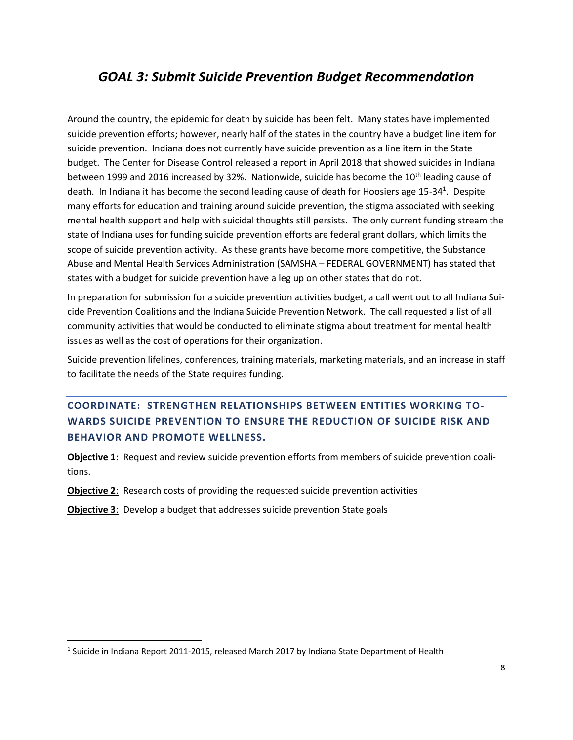# *GOAL 3: Submit Suicide Prevention Budget Recommendation*

Around the country, the epidemic for death by suicide has been felt. Many states have implemented suicide prevention efforts; however, nearly half of the states in the country have a budget line item for suicide prevention. Indiana does not currently have suicide prevention as a line item in the State budget. The Center for Disease Control released a report in April 2018 that showed suicides in Indiana between 1999 and 2016 increased by 32%. Nationwide, suicide has become the 10<sup>th</sup> leading cause of death. In Indiana it has become the second leading cause of death for Hoosiers age 15-34<sup>1</sup>. Despite many efforts for education and training around suicide prevention, the stigma associated with seeking mental health support and help with suicidal thoughts still persists. The only current funding stream the state of Indiana uses for funding suicide prevention efforts are federal grant dollars, which limits the scope of suicide prevention activity. As these grants have become more competitive, the Substance Abuse and Mental Health Services Administration (SAMSHA – FEDERAL GOVERNMENT) has stated that states with a budget for suicide prevention have a leg up on other states that do not.

In preparation for submission for a suicide prevention activities budget, a call went out to all Indiana Suicide Prevention Coalitions and the Indiana Suicide Prevention Network. The call requested a list of all community activities that would be conducted to eliminate stigma about treatment for mental health issues as well as the cost of operations for their organization.

Suicide prevention lifelines, conferences, training materials, marketing materials, and an increase in staff to facilitate the needs of the State requires funding.

## **COORDINATE: STRENGTHEN RELATIONSHIPS BETWEEN ENTITIES WORKING TO-WARDS SUICIDE PREVENTION TO ENSURE THE REDUCTION OF SUICIDE RISK AND BEHAVIOR AND PROMOTE WELLNESS.**

**Objective 1**: Request and review suicide prevention efforts from members of suicide prevention coalitions.

**Objective 2**: Research costs of providing the requested suicide prevention activities

**Objective 3**: Develop a budget that addresses suicide prevention State goals

 $\overline{a}$ 

 $^1$  Suicide in Indiana Report 2011-2015, released March 2017 by Indiana State Department of Health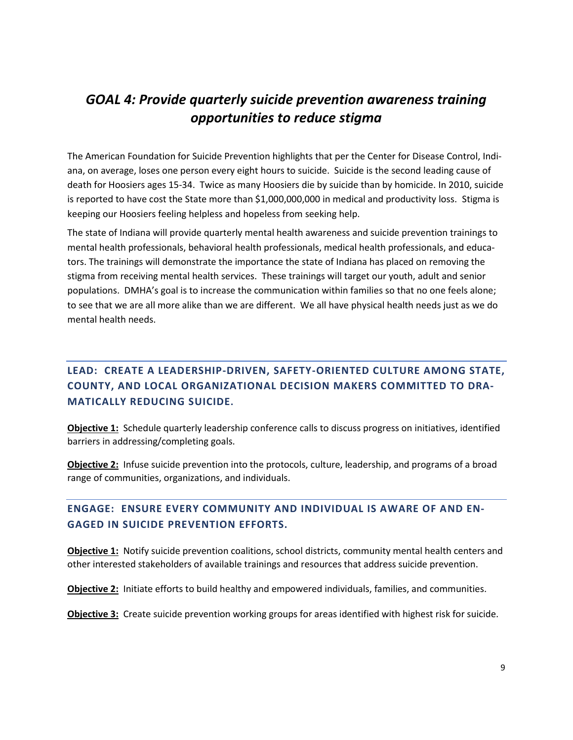# *GOAL 4: Provide quarterly suicide prevention awareness training opportunities to reduce stigma*

The American Foundation for Suicide Prevention highlights that per the Center for Disease Control, Indiana, on average, loses one person every eight hours to suicide. Suicide is the second leading cause of death for Hoosiers ages 15-34. Twice as many Hoosiers die by suicide than by homicide. In 2010, suicide is reported to have cost the State more than \$1,000,000,000 in medical and productivity loss. Stigma is keeping our Hoosiers feeling helpless and hopeless from seeking help.

The state of Indiana will provide quarterly mental health awareness and suicide prevention trainings to mental health professionals, behavioral health professionals, medical health professionals, and educators. The trainings will demonstrate the importance the state of Indiana has placed on removing the stigma from receiving mental health services. These trainings will target our youth, adult and senior populations. DMHA's goal is to increase the communication within families so that no one feels alone; to see that we are all more alike than we are different. We all have physical health needs just as we do mental health needs.

## **LEAD: CREATE A LEADERSHIP-DRIVEN, SAFETY-ORIENTED CULTURE AMONG STATE, COUNTY, AND LOCAL ORGANIZATIONAL DECISION MAKERS COMMITTED TO DRA-MATICALLY REDUCING SUICIDE.**

**Objective 1:** Schedule quarterly leadership conference calls to discuss progress on initiatives, identified barriers in addressing/completing goals.

**Objective 2:** Infuse suicide prevention into the protocols, culture, leadership, and programs of a broad range of communities, organizations, and individuals.

### **ENGAGE: ENSURE EVERY COMMUNITY AND INDIVIDUAL IS AWARE OF AND EN-GAGED IN SUICIDE PREVENTION EFFORTS.**

**Objective 1:** Notify suicide prevention coalitions, school districts, community mental health centers and other interested stakeholders of available trainings and resources that address suicide prevention.

**Objective 2:** Initiate efforts to build healthy and empowered individuals, families, and communities.

**Objective 3:** Create suicide prevention working groups for areas identified with highest risk for suicide.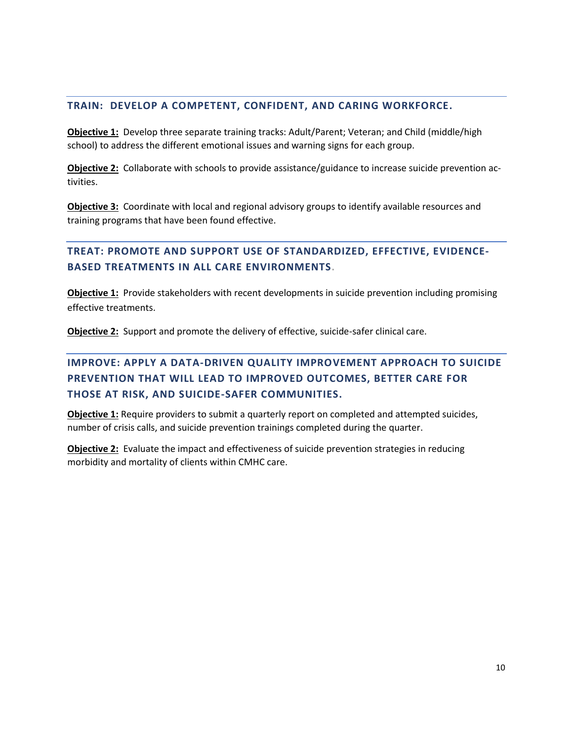### **TRAIN: DEVELOP A COMPETENT, CONFIDENT, AND CARING WORKFORCE.**

**Objective 1:** Develop three separate training tracks: Adult/Parent; Veteran; and Child (middle/high school) to address the different emotional issues and warning signs for each group.

**Objective 2:** Collaborate with schools to provide assistance/guidance to increase suicide prevention activities.

**Objective 3:** Coordinate with local and regional advisory groups to identify available resources and training programs that have been found effective.

### **TREAT: PROMOTE AND SUPPORT USE OF STANDARDIZED, EFFECTIVE, EVIDENCE-BASED TREATMENTS IN ALL CARE ENVIRONMENTS.**

**Objective 1:** Provide stakeholders with recent developments in suicide prevention including promising effective treatments.

**Objective 2:** Support and promote the delivery of effective, suicide-safer clinical care.

# **IMPROVE: APPLY A DATA-DRIVEN QUALITY IMPROVEMENT APPROACH TO SUICIDE PREVENTION THAT WILL LEAD TO IMPROVED OUTCOMES, BETTER CARE FOR THOSE AT RISK, AND SUICIDE-SAFER COMMUNITIES.**

**Objective 1:** Require providers to submit a quarterly report on completed and attempted suicides, number of crisis calls, and suicide prevention trainings completed during the quarter.

**Objective 2:** Evaluate the impact and effectiveness of suicide prevention strategies in reducing morbidity and mortality of clients within CMHC care.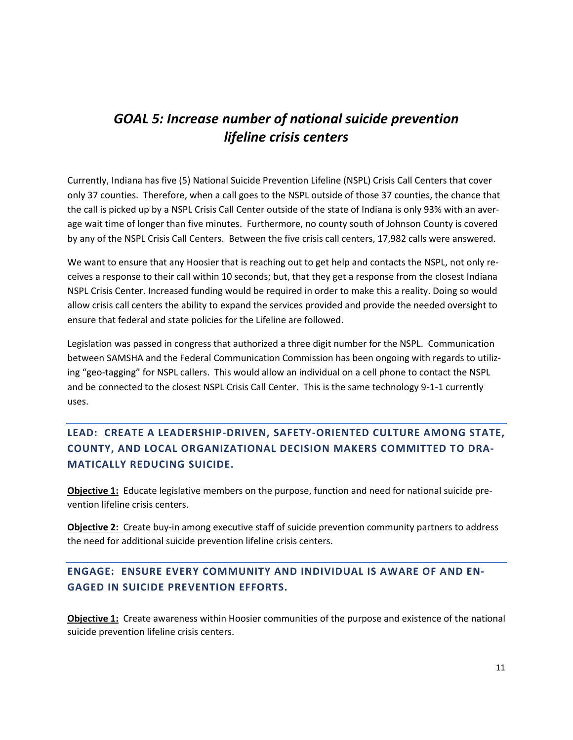# *GOAL 5: Increase number of national suicide prevention lifeline crisis centers*

Currently, Indiana has five (5) National Suicide Prevention Lifeline (NSPL) Crisis Call Centers that cover only 37 counties. Therefore, when a call goes to the NSPL outside of those 37 counties, the chance that the call is picked up by a NSPL Crisis Call Center outside of the state of Indiana is only 93% with an average wait time of longer than five minutes. Furthermore, no county south of Johnson County is covered by any of the NSPL Crisis Call Centers. Between the five crisis call centers, 17,982 calls were answered.

We want to ensure that any Hoosier that is reaching out to get help and contacts the NSPL, not only receives a response to their call within 10 seconds; but, that they get a response from the closest Indiana NSPL Crisis Center. Increased funding would be required in order to make this a reality. Doing so would allow crisis call centers the ability to expand the services provided and provide the needed oversight to ensure that federal and state policies for the Lifeline are followed.

Legislation was passed in congress that authorized a three digit number for the NSPL. Communication between SAMSHA and the Federal Communication Commission has been ongoing with regards to utilizing "geo-tagging" for NSPL callers. This would allow an individual on a cell phone to contact the NSPL and be connected to the closest NSPL Crisis Call Center. This is the same technology 9-1-1 currently uses.

# **LEAD: CREATE A LEADERSHIP-DRIVEN, SAFETY-ORIENTED CULTURE AMONG STATE, COUNTY, AND LOCAL ORGANIZATIONAL DECISION MAKERS COMMITTED TO DRA-MATICALLY REDUCING SUICIDE.**

**Objective 1:** Educate legislative members on the purpose, function and need for national suicide prevention lifeline crisis centers.

**Objective 2:** Create buy-in among executive staff of suicide prevention community partners to address the need for additional suicide prevention lifeline crisis centers.

## **ENGAGE: ENSURE EVERY COMMUNITY AND INDIVIDUAL IS AWARE OF AND EN-GAGED IN SUICIDE PREVENTION EFFORTS.**

**Objective 1:** Create awareness within Hoosier communities of the purpose and existence of the national suicide prevention lifeline crisis centers.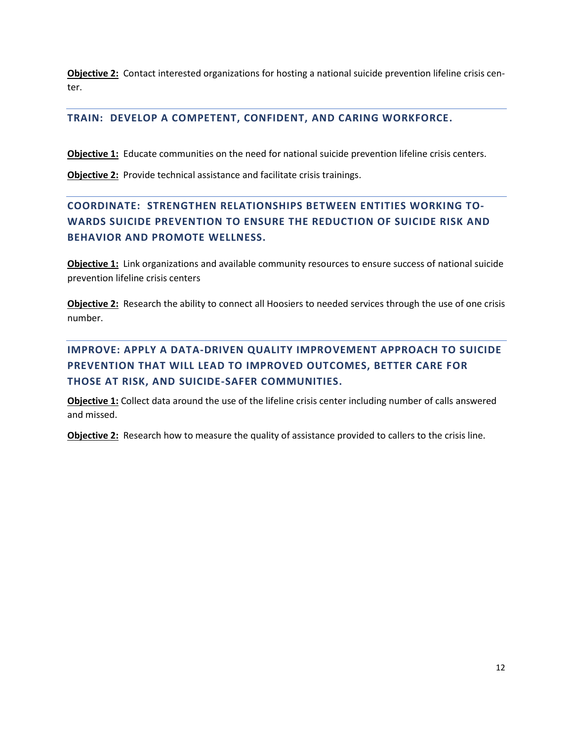**Objective 2:** Contact interested organizations for hosting a national suicide prevention lifeline crisis center.

### **TRAIN: DEVELOP A COMPETENT, CONFIDENT, AND CARING WORKFORCE.**

**Objective 1:** Educate communities on the need for national suicide prevention lifeline crisis centers.

**Objective 2:** Provide technical assistance and facilitate crisis trainings.

# **COORDINATE: STRENGTHEN RELATIONSHIPS BETWEEN ENTITIES WORKING TO-WARDS SUICIDE PREVENTION TO ENSURE THE REDUCTION OF SUICIDE RISK AND BEHAVIOR AND PROMOTE WELLNESS.**

**Objective 1:** Link organizations and available community resources to ensure success of national suicide prevention lifeline crisis centers

**Objective 2:** Research the ability to connect all Hoosiers to needed services through the use of one crisis number.

**IMPROVE: APPLY A DATA-DRIVEN QUALITY IMPROVEMENT APPROACH TO SUICIDE PREVENTION THAT WILL LEAD TO IMPROVED OUTCOMES, BETTER CARE FOR THOSE AT RISK, AND SUICIDE-SAFER COMMUNITIES.**

**Objective 1:** Collect data around the use of the lifeline crisis center including number of calls answered and missed.

**Objective 2:** Research how to measure the quality of assistance provided to callers to the crisis line.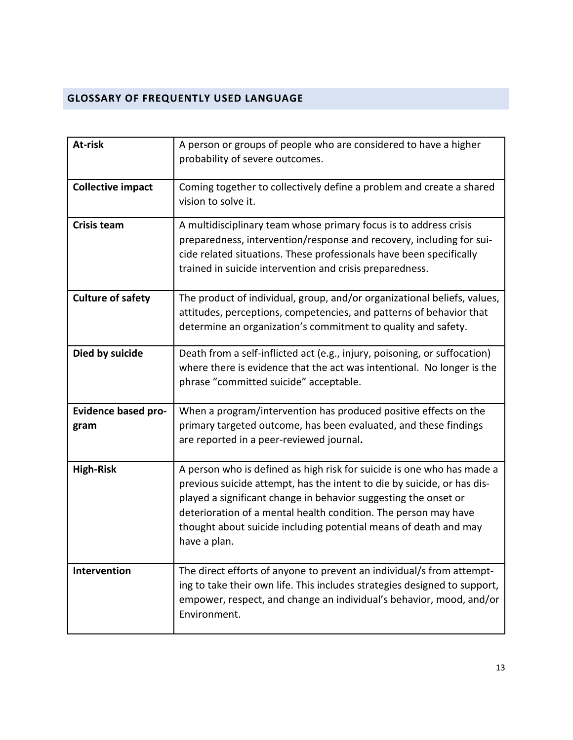## <span id="page-12-0"></span>**GLOSSARY OF FREQUENTLY USED LANGUAGE**

| At-risk                            | A person or groups of people who are considered to have a higher<br>probability of severe outcomes.                                                                                                                                                                                                                                                                         |
|------------------------------------|-----------------------------------------------------------------------------------------------------------------------------------------------------------------------------------------------------------------------------------------------------------------------------------------------------------------------------------------------------------------------------|
| <b>Collective impact</b>           | Coming together to collectively define a problem and create a shared<br>vision to solve it.                                                                                                                                                                                                                                                                                 |
| <b>Crisis team</b>                 | A multidisciplinary team whose primary focus is to address crisis<br>preparedness, intervention/response and recovery, including for sui-<br>cide related situations. These professionals have been specifically<br>trained in suicide intervention and crisis preparedness.                                                                                                |
| <b>Culture of safety</b>           | The product of individual, group, and/or organizational beliefs, values,<br>attitudes, perceptions, competencies, and patterns of behavior that<br>determine an organization's commitment to quality and safety.                                                                                                                                                            |
| Died by suicide                    | Death from a self-inflicted act (e.g., injury, poisoning, or suffocation)<br>where there is evidence that the act was intentional. No longer is the<br>phrase "committed suicide" acceptable.                                                                                                                                                                               |
| <b>Evidence based pro-</b><br>gram | When a program/intervention has produced positive effects on the<br>primary targeted outcome, has been evaluated, and these findings<br>are reported in a peer-reviewed journal.                                                                                                                                                                                            |
| <b>High-Risk</b>                   | A person who is defined as high risk for suicide is one who has made a<br>previous suicide attempt, has the intent to die by suicide, or has dis-<br>played a significant change in behavior suggesting the onset or<br>deterioration of a mental health condition. The person may have<br>thought about suicide including potential means of death and may<br>have a plan. |
| Intervention                       | The direct efforts of anyone to prevent an individual/s from attempt-<br>ing to take their own life. This includes strategies designed to support,<br>empower, respect, and change an individual's behavior, mood, and/or<br>Environment.                                                                                                                                   |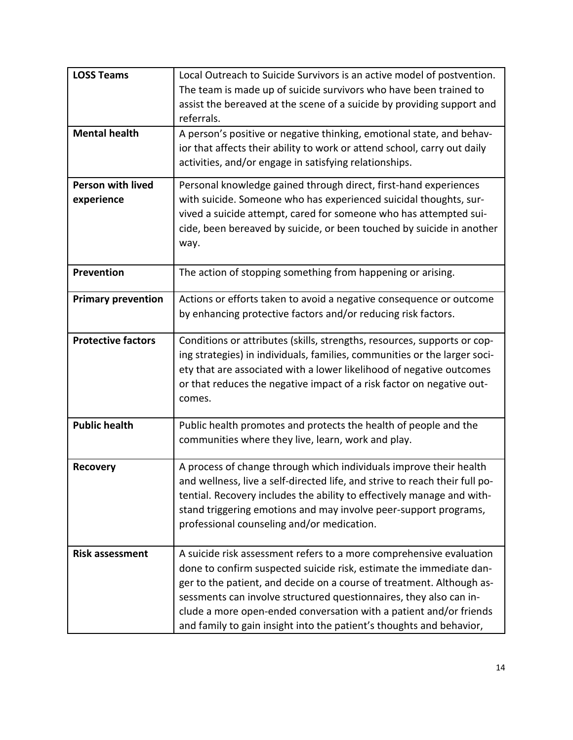| <b>LOSS Teams</b>                      | Local Outreach to Suicide Survivors is an active model of postvention.<br>The team is made up of suicide survivors who have been trained to                                                                                                                                                                                                                                                                                             |
|----------------------------------------|-----------------------------------------------------------------------------------------------------------------------------------------------------------------------------------------------------------------------------------------------------------------------------------------------------------------------------------------------------------------------------------------------------------------------------------------|
|                                        | assist the bereaved at the scene of a suicide by providing support and<br>referrals.                                                                                                                                                                                                                                                                                                                                                    |
| <b>Mental health</b>                   | A person's positive or negative thinking, emotional state, and behav-<br>ior that affects their ability to work or attend school, carry out daily<br>activities, and/or engage in satisfying relationships.                                                                                                                                                                                                                             |
| <b>Person with lived</b><br>experience | Personal knowledge gained through direct, first-hand experiences<br>with suicide. Someone who has experienced suicidal thoughts, sur-<br>vived a suicide attempt, cared for someone who has attempted sui-<br>cide, been bereaved by suicide, or been touched by suicide in another<br>way.                                                                                                                                             |
| Prevention                             | The action of stopping something from happening or arising.                                                                                                                                                                                                                                                                                                                                                                             |
| <b>Primary prevention</b>              | Actions or efforts taken to avoid a negative consequence or outcome<br>by enhancing protective factors and/or reducing risk factors.                                                                                                                                                                                                                                                                                                    |
| <b>Protective factors</b>              | Conditions or attributes (skills, strengths, resources, supports or cop-<br>ing strategies) in individuals, families, communities or the larger soci-<br>ety that are associated with a lower likelihood of negative outcomes<br>or that reduces the negative impact of a risk factor on negative out-<br>comes.                                                                                                                        |
| <b>Public health</b>                   | Public health promotes and protects the health of people and the<br>communities where they live, learn, work and play.                                                                                                                                                                                                                                                                                                                  |
| <b>Recovery</b>                        | A process of change through which individuals improve their health<br>and wellness, live a self-directed life, and strive to reach their full po-<br>tential. Recovery includes the ability to effectively manage and with-<br>stand triggering emotions and may involve peer-support programs,<br>professional counseling and/or medication.                                                                                           |
| <b>Risk assessment</b>                 | A suicide risk assessment refers to a more comprehensive evaluation<br>done to confirm suspected suicide risk, estimate the immediate dan-<br>ger to the patient, and decide on a course of treatment. Although as-<br>sessments can involve structured questionnaires, they also can in-<br>clude a more open-ended conversation with a patient and/or friends<br>and family to gain insight into the patient's thoughts and behavior, |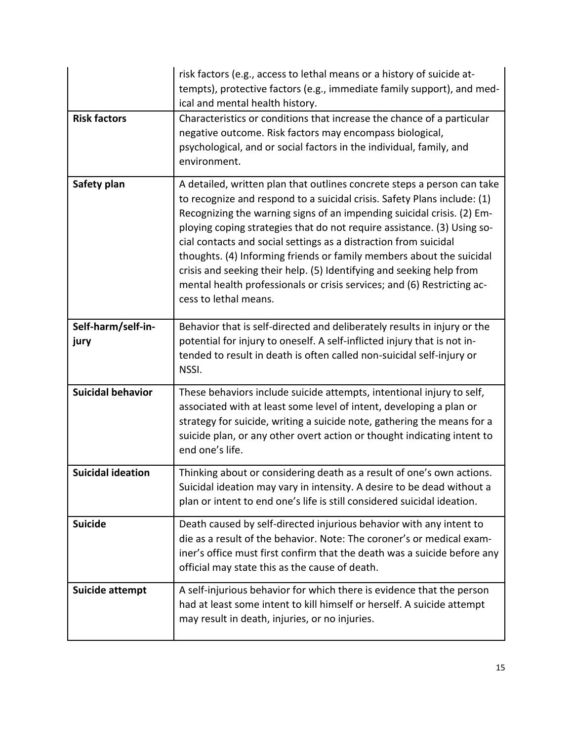|                            | risk factors (e.g., access to lethal means or a history of suicide at-<br>tempts), protective factors (e.g., immediate family support), and med-<br>ical and mental health history.                                                                                                                                                                                                                                                                                                                                                                                                                                              |
|----------------------------|----------------------------------------------------------------------------------------------------------------------------------------------------------------------------------------------------------------------------------------------------------------------------------------------------------------------------------------------------------------------------------------------------------------------------------------------------------------------------------------------------------------------------------------------------------------------------------------------------------------------------------|
| <b>Risk factors</b>        | Characteristics or conditions that increase the chance of a particular<br>negative outcome. Risk factors may encompass biological,<br>psychological, and or social factors in the individual, family, and<br>environment.                                                                                                                                                                                                                                                                                                                                                                                                        |
| Safety plan                | A detailed, written plan that outlines concrete steps a person can take<br>to recognize and respond to a suicidal crisis. Safety Plans include: (1)<br>Recognizing the warning signs of an impending suicidal crisis. (2) Em-<br>ploying coping strategies that do not require assistance. (3) Using so-<br>cial contacts and social settings as a distraction from suicidal<br>thoughts. (4) Informing friends or family members about the suicidal<br>crisis and seeking their help. (5) Identifying and seeking help from<br>mental health professionals or crisis services; and (6) Restricting ac-<br>cess to lethal means. |
| Self-harm/self-in-<br>jury | Behavior that is self-directed and deliberately results in injury or the<br>potential for injury to oneself. A self-inflicted injury that is not in-<br>tended to result in death is often called non-suicidal self-injury or<br>NSSI.                                                                                                                                                                                                                                                                                                                                                                                           |
| <b>Suicidal behavior</b>   | These behaviors include suicide attempts, intentional injury to self,<br>associated with at least some level of intent, developing a plan or<br>strategy for suicide, writing a suicide note, gathering the means for a<br>suicide plan, or any other overt action or thought indicating intent to<br>end one's life.                                                                                                                                                                                                                                                                                                            |
| <b>Suicidal ideation</b>   | Thinking about or considering death as a result of one's own actions.<br>Suicidal ideation may vary in intensity. A desire to be dead without a<br>plan or intent to end one's life is still considered suicidal ideation.                                                                                                                                                                                                                                                                                                                                                                                                       |
| <b>Suicide</b>             | Death caused by self-directed injurious behavior with any intent to<br>die as a result of the behavior. Note: The coroner's or medical exam-<br>iner's office must first confirm that the death was a suicide before any<br>official may state this as the cause of death.                                                                                                                                                                                                                                                                                                                                                       |
| Suicide attempt            | A self-injurious behavior for which there is evidence that the person<br>had at least some intent to kill himself or herself. A suicide attempt<br>may result in death, injuries, or no injuries.                                                                                                                                                                                                                                                                                                                                                                                                                                |